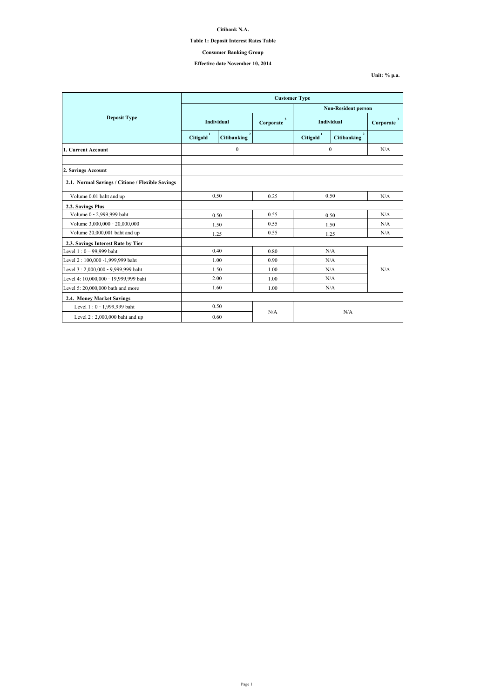**Unit: % p.a.**

|                                                  | <b>Customer Type</b>  |                    |                           |                            |                                      |                           |  |
|--------------------------------------------------|-----------------------|--------------------|---------------------------|----------------------------|--------------------------------------|---------------------------|--|
|                                                  |                       |                    |                           | <b>Non-Resident person</b> |                                      |                           |  |
| <b>Deposit Type</b>                              | Individual            |                    | $\mathbf{3}$<br>Corporate | <b>Individual</b>          |                                      | $\mathbf{3}$<br>Corporate |  |
|                                                  | Citigold <sup>1</sup> | <b>Citibanking</b> |                           | Citigold <sup>1</sup>      | $\overline{2}$<br><b>Citibanking</b> |                           |  |
| 1. Current Account                               |                       | $\boldsymbol{0}$   |                           | $\mathbf{0}$               |                                      | N/A                       |  |
|                                                  |                       |                    |                           |                            |                                      |                           |  |
| 2. Savings Account                               |                       |                    |                           |                            |                                      |                           |  |
| 2.1. Normal Savings / Citione / Flexible Savings |                       |                    |                           |                            |                                      |                           |  |
| Volume 0.01 baht and up                          | 0.50                  |                    | 0.25                      | 0.50                       |                                      | N/A                       |  |
| 2.2. Savings Plus                                |                       |                    |                           |                            |                                      |                           |  |
| Volume 0 - 2,999,999 baht                        | 0.50                  |                    | 0.55                      |                            | 0.50                                 | N/A                       |  |
| Volume 3,000,000 - 20,000,000                    | 1.50                  |                    | 0.55                      | 1.50                       |                                      | N/A                       |  |
| Volume 20,000,001 baht and up                    |                       | 1.25               | 0.55                      | 1.25                       |                                      | N/A                       |  |
| 2.3. Savings Interest Rate by Tier               |                       |                    |                           |                            |                                      |                           |  |
| Level $1:0 - 99,999$ baht                        |                       | 0.40               | 0.80                      | N/A                        |                                      | N/A                       |  |
| Level 2:100,000 -1,999,999 baht                  |                       | 1.00               | 0.90                      | N/A                        |                                      |                           |  |
| Level 3: 2,000,000 - 9,999,999 baht              |                       | 1.50               | 1.00                      | N/A                        |                                      |                           |  |
| Level 4: 10,000,000 - 19,999,999 baht            |                       | 2.00               | 1.00                      | N/A                        |                                      |                           |  |
| Level 5: $20,000,000$ bath and more              | 1.60                  |                    | 1.00                      | N/A                        |                                      |                           |  |
| 2.4. Money Market Savings                        |                       |                    |                           |                            |                                      |                           |  |
| Level 1:0 - 1,999,999 baht                       |                       | 0.50               |                           |                            |                                      |                           |  |
| Level $2:2,000,000$ baht and up                  | N/A<br>0.60           |                    | N/A                       |                            |                                      |                           |  |

**Citibank N.A.**

## **Table 1: Deposit Interest Rates Table**

# **Effective date November 10, 2014**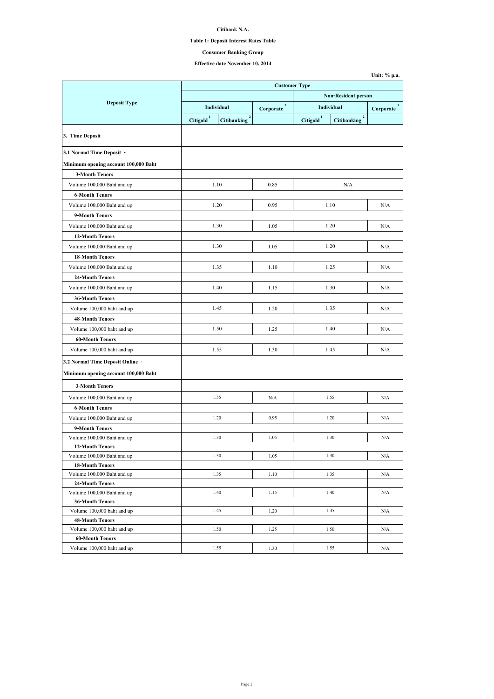## **Table 1: Deposit Interest Rates Table**

# **Effective date November 10, 2014**

|                                                      | <b>Customer Type</b>  |                                      |                           |                            |                                      |                             |
|------------------------------------------------------|-----------------------|--------------------------------------|---------------------------|----------------------------|--------------------------------------|-----------------------------|
|                                                      |                       |                                      |                           | <b>Non-Resident person</b> |                                      |                             |
| <b>Deposit Type</b>                                  | <b>Individual</b>     |                                      | $\mathbf{3}$<br>Corporate | Individual                 |                                      | 3 <sup>2</sup><br>Corporate |
|                                                      | Citigold <sup>1</sup> | $\overline{2}$<br><b>Citibanking</b> |                           | Citigold <sup>1</sup>      | $\overline{2}$<br><b>Citibanking</b> |                             |
| 3. Time Deposit                                      |                       |                                      |                           |                            |                                      |                             |
| 3.1 Normal Time Deposit -                            |                       |                                      |                           |                            |                                      |                             |
| Minimum opening account 100,000 Baht                 |                       |                                      |                           |                            |                                      |                             |
| <b>3-Month Tenors</b>                                |                       |                                      |                           |                            |                                      |                             |
| Volume 100,000 Baht and up                           |                       | 1.10                                 | 0.85                      |                            | N/A                                  |                             |
| <b>6-Month Tenors</b>                                |                       |                                      |                           |                            |                                      |                             |
| Volume 100,000 Baht and up                           |                       | 1.20                                 | 0.95                      |                            | 1.10                                 | N/A                         |
| 9-Month Tenors                                       |                       |                                      |                           |                            |                                      |                             |
| Volume 100,000 Baht and up                           |                       | 1.30                                 | 1.05                      |                            | 1.20                                 | N/A                         |
| <b>12-Month Tenors</b>                               |                       |                                      |                           |                            |                                      |                             |
| Volume 100,000 Baht and up                           |                       | 1.30                                 | 1.05                      |                            | 1.20                                 | N/A                         |
| <b>18-Month Tenors</b>                               |                       |                                      |                           |                            |                                      |                             |
| Volume 100,000 Baht and up                           |                       | 1.35                                 | 1.10                      |                            | 1.25                                 | N/A                         |
| <b>24-Month Tenors</b>                               |                       |                                      |                           |                            |                                      |                             |
| Volume 100,000 Baht and up                           |                       | 1.40                                 | 1.15                      |                            | 1.30                                 | N/A                         |
| <b>36-Month Tenors</b>                               |                       |                                      |                           |                            |                                      |                             |
|                                                      |                       |                                      |                           |                            |                                      |                             |
| Volume 100,000 baht and up                           |                       | 1.45                                 | 1.20                      |                            | 1.35                                 | N/A                         |
| <b>48-Month Tenors</b>                               |                       |                                      |                           |                            |                                      |                             |
| Volume 100,000 baht and up                           |                       | 1.50                                 | 1.25                      |                            | 1.40                                 | N/A                         |
| <b>60-Month Tenors</b>                               |                       |                                      |                           |                            |                                      |                             |
| Volume 100,000 baht and up                           |                       | 1.55                                 | 1.30                      |                            | 1.45                                 | N/A                         |
| 3.2 Normal Time Deposit Online -                     |                       |                                      |                           |                            |                                      |                             |
| Minimum opening account 100,000 Baht                 |                       |                                      |                           |                            |                                      |                             |
| <b>3-Month Tenors</b>                                |                       |                                      |                           |                            |                                      |                             |
| Volume 100,000 Baht and up                           |                       | 1.55                                 | N/A                       |                            | 1.55                                 | N/A                         |
| <b>6-Month Tenors</b>                                |                       |                                      |                           |                            |                                      |                             |
| Volume 100,000 Baht and up                           |                       | 1.20                                 | 0.95                      |                            | 1.20                                 | N/A                         |
| 9-Month Tenors                                       |                       |                                      |                           |                            |                                      |                             |
| Volume 100,000 Baht and up                           |                       | 1.30                                 | 1.05                      |                            | 1.30                                 | N/A                         |
| <b>12-Month Tenors</b>                               |                       |                                      |                           |                            |                                      |                             |
| Volume 100,000 Baht and up                           |                       | 1.30                                 | 1.05                      |                            | 1.30                                 | N/A                         |
| <b>18-Month Tenors</b>                               |                       |                                      |                           |                            |                                      |                             |
| Volume 100,000 Baht and up                           |                       | 1.35                                 | 1.10                      |                            | 1.35                                 | N/A                         |
| <b>24-Month Tenors</b>                               |                       |                                      |                           |                            |                                      |                             |
| Volume 100,000 Baht and up                           |                       | 1.40                                 | 1.15                      |                            | 1.40                                 | N/A                         |
| <b>36-Month Tenors</b><br>Volume 100,000 baht and up |                       | 1.45                                 | 1.20                      |                            | 1.45                                 | N/A                         |
| <b>48-Month Tenors</b>                               |                       |                                      |                           |                            |                                      |                             |
| Volume 100,000 baht and up                           |                       | 1.50                                 | 1.25                      |                            | 1.50                                 | N/A                         |
| <b>60-Month Tenors</b>                               |                       |                                      |                           |                            |                                      |                             |
| Volume 100,000 baht and up                           |                       | 1.55                                 | 1.30                      |                            | 1.55                                 | N/A                         |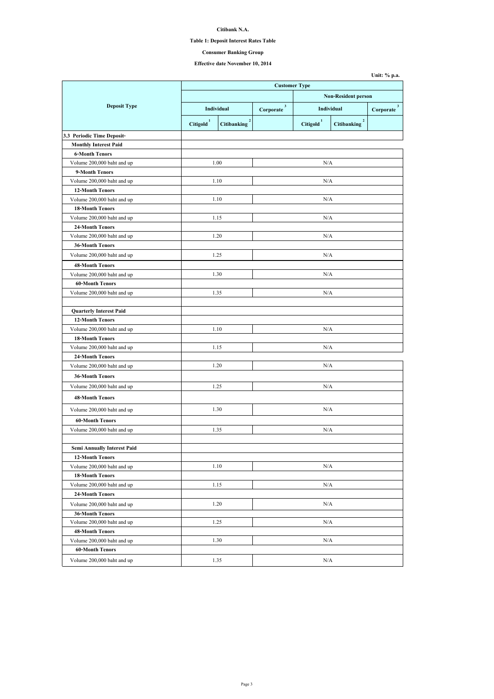## **Table 1: Deposit Interest Rates Table**

# **Effective date November 10, 2014**

|                                    | <b>Customer Type</b>  |                                      |                            |                       |                                      |                           |
|------------------------------------|-----------------------|--------------------------------------|----------------------------|-----------------------|--------------------------------------|---------------------------|
|                                    |                       |                                      | <b>Non-Resident person</b> |                       |                                      |                           |
| <b>Deposit Type</b>                | Individual            |                                      | $\mathbf{3}$<br>Corporate  |                       | <b>Individual</b>                    | $\mathbf{3}$<br>Corporate |
|                                    | Citigold <sup>1</sup> | $\overline{2}$<br><b>Citibanking</b> |                            | Citigold <sup>1</sup> | $\overline{2}$<br><b>Citibanking</b> |                           |
| 3.3 Periodic Time Deposit-         |                       |                                      |                            |                       |                                      |                           |
| <b>Monthly Interest Paid</b>       |                       |                                      |                            |                       |                                      |                           |
| <b>6-Month Tenors</b>              |                       |                                      |                            |                       |                                      |                           |
| Volume 200,000 baht and up         |                       | 1.00                                 |                            | N/A                   |                                      |                           |
| 9-Month Tenors                     |                       |                                      |                            |                       |                                      |                           |
| Volume 200,000 baht and up         |                       | 1.10                                 |                            | N/A                   |                                      |                           |
| <b>12-Month Tenors</b>             |                       |                                      |                            |                       |                                      |                           |
| Volume 200,000 baht and up         |                       | 1.10                                 |                            | N/A                   |                                      |                           |
| <b>18-Month Tenors</b>             |                       |                                      |                            |                       |                                      |                           |
| Volume 200,000 baht and up         | 1.15                  |                                      |                            | N/A                   |                                      |                           |
| <b>24-Month Tenors</b>             |                       |                                      |                            |                       |                                      |                           |
| Volume 200,000 baht and up         |                       | 1.20                                 |                            | N/A                   |                                      |                           |
| <b>36-Month Tenors</b>             |                       |                                      |                            |                       |                                      |                           |
| Volume 200,000 baht and up         | 1.25                  |                                      |                            | N/A                   |                                      |                           |
| <b>48-Month Tenors</b>             |                       |                                      |                            |                       |                                      |                           |
| Volume 200,000 baht and up         |                       | 1.30                                 |                            | N/A                   |                                      |                           |
| <b>60-Month Tenors</b>             |                       |                                      |                            |                       |                                      |                           |
| Volume 200,000 baht and up         |                       | 1.35                                 |                            | N/A                   |                                      |                           |
|                                    |                       |                                      |                            |                       |                                      |                           |
| <b>Quarterly Interest Paid</b>     |                       |                                      |                            |                       |                                      |                           |
| <b>12-Month Tenors</b>             |                       |                                      |                            |                       |                                      |                           |
| Volume 200,000 baht and up         |                       | 1.10                                 |                            | N/A                   |                                      |                           |
| <b>18-Month Tenors</b>             |                       |                                      |                            |                       |                                      |                           |
| Volume 200,000 baht and up         |                       | 1.15                                 |                            | N/A                   |                                      |                           |
| <b>24-Month Tenors</b>             |                       |                                      |                            |                       |                                      |                           |
| Volume 200,000 baht and up         |                       | 1.20                                 |                            | N/A                   |                                      |                           |
| <b>36-Month Tenors</b>             |                       |                                      |                            |                       |                                      |                           |
| Volume 200,000 baht and up         |                       | 1.25<br>N/A                          |                            |                       |                                      |                           |
| <b>48-Month Tenors</b>             |                       |                                      |                            |                       |                                      |                           |
| Volume 200,000 baht and up         |                       | 1.30                                 |                            | N/A                   |                                      |                           |
| <b>60-Month Tenors</b>             |                       |                                      |                            |                       |                                      |                           |
| Volume 200,000 baht and up         | 1.35                  |                                      |                            | N/A                   |                                      |                           |
|                                    |                       |                                      |                            |                       |                                      |                           |
| <b>Semi Annually Interest Paid</b> |                       |                                      |                            |                       |                                      |                           |
| <b>12-Month Tenors</b>             |                       |                                      |                            |                       |                                      |                           |
| Volume 200,000 baht and up         |                       | 1.10                                 |                            | N/A                   |                                      |                           |
| <b>18-Month Tenors</b>             |                       |                                      |                            |                       |                                      |                           |
| Volume 200,000 baht and up         |                       | 1.15                                 |                            | N/A                   |                                      |                           |
| <b>24-Month Tenors</b>             |                       |                                      |                            |                       |                                      |                           |
| Volume 200,000 baht and up         |                       | 1.20                                 | N/A                        |                       |                                      |                           |
| <b>36-Month Tenors</b>             |                       |                                      |                            |                       |                                      |                           |
| Volume 200,000 baht and up         |                       | 1.25                                 |                            | N/A                   |                                      |                           |
| <b>48-Month Tenors</b>             |                       |                                      |                            |                       |                                      |                           |
| Volume 200,000 baht and up         |                       | 1.30                                 |                            | N/A                   |                                      |                           |
| <b>60-Month Tenors</b>             |                       |                                      |                            |                       |                                      |                           |
| Volume 200,000 baht and up         |                       | 1.35                                 |                            | N/A                   |                                      |                           |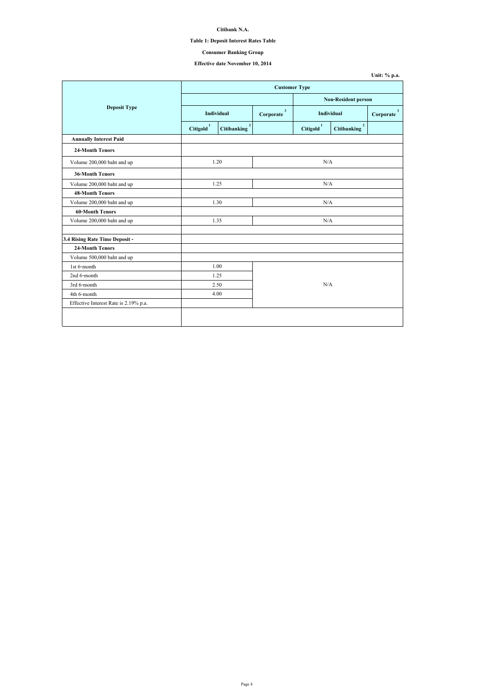| Unit: $%$ p.a. |  |  |
|----------------|--|--|
|----------------|--|--|

## **Table 1: Deposit Interest Rates Table**

# **Effective date November 10, 2014**

|                                       | <b>Customer Type</b>  |                                      |                           |                       |                                      |                           |  |
|---------------------------------------|-----------------------|--------------------------------------|---------------------------|-----------------------|--------------------------------------|---------------------------|--|
|                                       |                       |                                      |                           |                       | <b>Non-Resident person</b>           |                           |  |
| <b>Deposit Type</b>                   | Individual            |                                      | $\mathbf{3}$<br>Corporate | Individual            |                                      | $\mathbf{3}$<br>Corporate |  |
|                                       | Citigold <sup>1</sup> | $\overline{2}$<br><b>Citibanking</b> |                           | Citigold <sup>1</sup> | $\overline{2}$<br><b>Citibanking</b> |                           |  |
| <b>Annually Interest Paid</b>         |                       |                                      |                           |                       |                                      |                           |  |
| <b>24-Month Tenors</b>                |                       |                                      |                           |                       |                                      |                           |  |
| Volume 200,000 baht and up            | 1.20                  |                                      |                           | N/A                   |                                      |                           |  |
| <b>36-Month Tenors</b>                |                       |                                      |                           |                       |                                      |                           |  |
| Volume 200,000 baht and up            | 1.25                  |                                      | N/A                       |                       |                                      |                           |  |
| <b>48-Month Tenors</b>                |                       |                                      |                           |                       |                                      |                           |  |
| Volume 200,000 baht and up            | 1.30                  |                                      | N/A                       |                       |                                      |                           |  |
| <b>60-Month Tenors</b>                |                       |                                      |                           |                       |                                      |                           |  |
| Volume 200,000 baht and up            | 1.35                  |                                      | N/A                       |                       |                                      |                           |  |
|                                       |                       |                                      |                           |                       |                                      |                           |  |
| 3.4 Rising Rate Time Deposit -        |                       |                                      |                           |                       |                                      |                           |  |
| <b>24-Month Tenors</b>                |                       |                                      |                           |                       |                                      |                           |  |
| Volume 500,000 baht and up            |                       |                                      |                           |                       |                                      |                           |  |
| 1st 6-month                           | 1.00                  |                                      |                           |                       |                                      |                           |  |
| 2nd 6-month                           | 1.25                  |                                      |                           |                       |                                      |                           |  |
| 3rd 6-month                           | 2.50                  |                                      | N/A                       |                       |                                      |                           |  |
| 4th 6-month                           | 4.00                  |                                      |                           |                       |                                      |                           |  |
| Effective Interest Rate is 2.19% p.a. |                       |                                      |                           |                       |                                      |                           |  |
|                                       |                       |                                      |                           |                       |                                      |                           |  |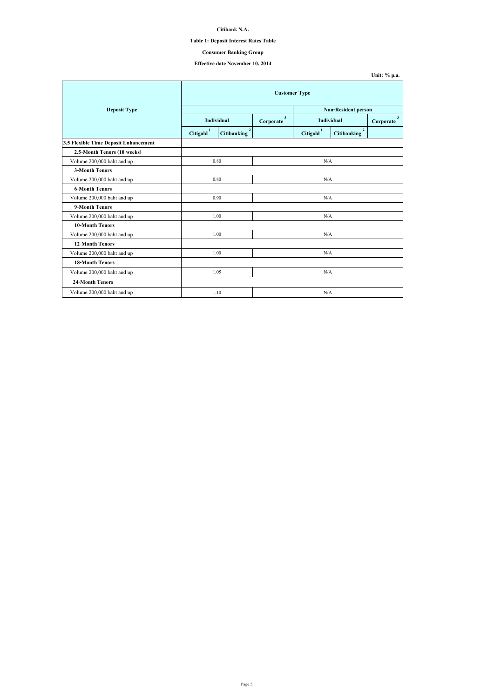## **Table 1: Deposit Interest Rates Table**

# **Effective date November 10, 2014**

|                                       | <b>Customer Type</b> |                                      |                             |                                 |                                      |                             |  |
|---------------------------------------|----------------------|--------------------------------------|-----------------------------|---------------------------------|--------------------------------------|-----------------------------|--|
| <b>Deposit Type</b>                   |                      | <b>Non-Resident person</b>           |                             |                                 |                                      |                             |  |
|                                       | <b>Individual</b>    |                                      | 3 <sup>1</sup><br>Corporate | Individual                      |                                      | 3 <sup>1</sup><br>Corporate |  |
|                                       | <b>Citigold</b>      | $\overline{2}$<br><b>Citibanking</b> |                             | $\mathbf{1}$<br><b>Citigold</b> | $\overline{2}$<br><b>Citibanking</b> |                             |  |
| 3.5 Flexible Time Deposit Enhancement |                      |                                      |                             |                                 |                                      |                             |  |
| 2.5-Month Tenors (10 weeks)           |                      |                                      |                             |                                 |                                      |                             |  |
| Volume 200,000 baht and up            |                      | 0.80                                 |                             | N/A                             |                                      |                             |  |
| <b>3-Month Tenors</b>                 |                      |                                      |                             |                                 |                                      |                             |  |
| Volume 200,000 baht and up            | 0.80                 |                                      | N/A                         |                                 |                                      |                             |  |
| <b>6-Month Tenors</b>                 |                      |                                      |                             |                                 |                                      |                             |  |
| Volume 200,000 baht and up            | 0.90                 |                                      | N/A                         |                                 |                                      |                             |  |
| 9-Month Tenors                        |                      |                                      |                             |                                 |                                      |                             |  |
| Volume 200,000 baht and up            | 1.00                 |                                      |                             | N/A                             |                                      |                             |  |
| <b>10-Month Tenors</b>                |                      |                                      |                             |                                 |                                      |                             |  |
| Volume 200,000 baht and up            |                      | 1.00                                 |                             | N/A                             |                                      |                             |  |
| <b>12-Month Tenors</b>                |                      |                                      |                             |                                 |                                      |                             |  |
| Volume 200,000 baht and up            | 1.00                 |                                      | N/A                         |                                 |                                      |                             |  |
| <b>18-Month Tenors</b>                |                      |                                      |                             |                                 |                                      |                             |  |
| Volume 200,000 baht and up            |                      | 1.05                                 |                             | N/A                             |                                      |                             |  |
| <b>24-Month Tenors</b>                |                      |                                      |                             |                                 |                                      |                             |  |
| Volume 200,000 baht and up            |                      | 1.10                                 |                             | N/A                             |                                      |                             |  |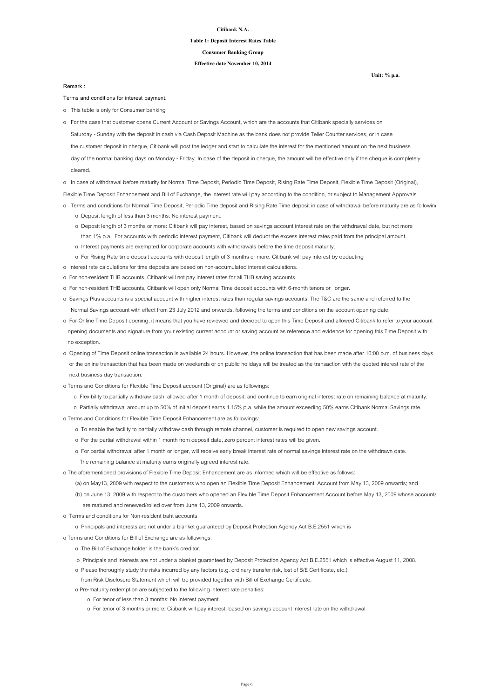**Unit: % p.a.**

#### **Citibank N.A.**

#### **Table 1: Deposit Interest Rates Table**

#### **Effective date November 10, 2014**

#### **Consumer Banking Group**

**Terms and conditions for interest payment.**

o This table is only for Consumer banking

o In case of withdrawal before maturity for Normal Time Deposit, Periodic Time Deposit, Rising Rate Time Deposit, Flexible Time Deposit (Original),

Flexible Time Deposit Enhancement and Bill of Exchange, the interest rate will pay according to the condition, or subject to Management Approvals.

- o Terms and conditions for Normal Time Deposit, Periodic Time deposit and Rising Rate Time deposit in case of withdrawal before maturity are as following
	- o Deposit length of less than 3 months: No interest payment.
	- o Deposit length of 3 months or more: Citibank will pay interest, based on savings account interest rate on the withdrawal date, but not more than 1% p.a. For accounts with periodic interest payment, Citibank will deduct the excess interest rates paid from the principal amount.
	- o Interest payments are exempted for corporate accounts with withdrawals before the time deposit maturity.
	- o For Rising Rate time deposit accounts with deposit length of 3 months or more, Citibank will pay interest by deducting
- o Interest rate calculations for time deposits are based on non-accumulated interest calculations.
- o For non-resident THB accounts, Citibank will not pay interest rates for all THB saving accounts.
- o For non-resident THB accounts, Citibank will open only Normal Time deposit accounts with 6-month tenors or longer.
- o Savings Plus accounts is a special account with higher interest rates than regular savings accounts; The T&C are the same and referred to the Normal Savings account with effect from 23 July 2012 and onwards, following the terms and conditions on the account opening date.
- o For Online Time Deposit opening, it means that you have reviewed and decided to open this Time Deposit and allowed Citibank to refer to your account opening documents and signature from your existing current account or saving account as reference and evidence for opening this Time Deposit with no exception.
- o Opening of Time Deposit online transaction is available 24 hours. However, the online transaction that has been made after 10:00 p.m. of business days or the online transaction that has been made on weekends or on public holidays will be treated as the transaction with the quoted interest rate of the

 Saturday - Sunday with the deposit in cash via Cash Deposit Machine as the bank does not provide Teller Counter services, or in case the customer deposit in cheque, Citibank will post the ledger and start to calculate the interest for the mentioned amount on the next business day of the normal banking days on Monday - Friday. In case of the deposit in cheque, the amount will be effective only if the cheque is completely cleared. o For the case that customer opens Current Account or Savings Account, which are the accounts that Citibank specially services on

next business day transaction.

- o Terms and Conditions for Flexible Time Deposit account (Original) are as followings:
	- o Flexibility to partially withdraw cash, allowed after 1 month of deposit, and continue to earn original interest rate on remaining balance at maturity.
	- o Partially withdrawal amount up to 50% of initial deposit earns 1.15% p.a. while the amount exceeding 50% earns Citibank Normal Savings rate.
- o Terms and Conditions for Flexible Time Deposit Enhancement are as followings:
	- o To enable the facility to partially withdraw cash through remote channel, customer is required to open new savings account.
	- o For the partial withdrawal within 1 month from deposit date, zero percent interest rates will be given.
	- o For partial withdrawal after 1 month or longer, will receive early break interest rate of normal savings interest rate on the withdrawn date.
		- The remaining balance at maturity earns originally agreed interest rate.
- o The aforementioned provisions of Flexible Time Deposit Enhancement are as informed which will be effective as follows:
	- (a) on May13, 2009 with respect to the customers who open an Flexible Time Deposit Enhancement Account from May 13, 2009 onwards; and
	- (b) on June 13, 2009 with respect to the customers who opened an Flexible Time Deposit Enhancement Account before May 13, 2009 whose accounts are matured and renewed/rolled over from June 13, 2009 onwards.
- o Terms and conditions for Non-resident baht accounts
	- o Principals and interests are not under a blanket guaranteed by Deposit Protection Agency Act B.E.2551 which is
- o Terms and Conditions for Bill of Exchange are as followings:
	- o The Bill of Exchange holder is the bank's creditor.
	- o Principals and interests are not under a blanket guaranteed by Deposit Protection Agency Act B.E.2551 which is effective August 11, 2008.
	- o Please thoroughly study the risks incurred by any factors (e.g. ordinary transfer risk, lost of B/E Certificate, etc.)
	- from Risk Disclosure Statement which will be provided together with Bill of Exchange Certificate.
	- o Pre-maturity redemption are subjected to the following interest rate penalties:
		- o For tenor of less than 3 months: No interest payment.
		- o For tenor of 3 months or more: Citibank will pay interest, based on savings account interest rate on the withdrawal

**Remark :**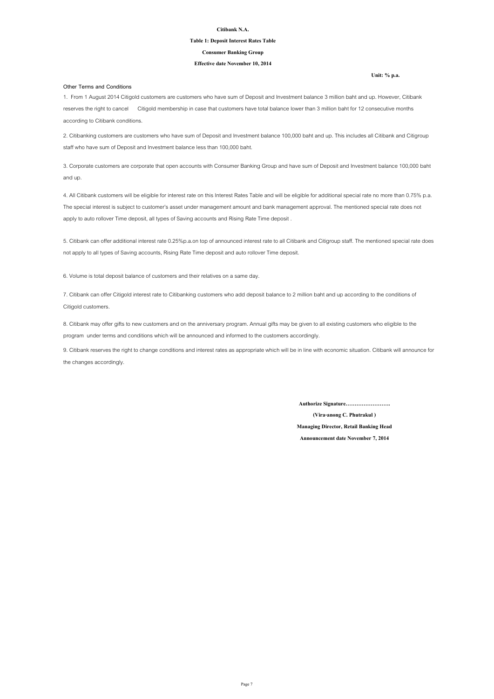**Unit: % p.a.**

#### **Citibank N.A.**

#### **Table 1: Deposit Interest Rates Table**

#### **Effective date November 10, 2014**

#### **Consumer Banking Group**

#### **Other Terms and Conditions**

**Announcement date November 7, 2014**

**(Vira-anong C. Phutrakul )**

**Managing Director, Retail Banking Head**

**Authorize Signature…………………….**

8. Citibank may offer gifts to new customers and on the anniversary program. Annual gifts may be given to all existing customers who eligible to the program under terms and conditions which will be announced and informed to the customers accordingly.

9. Citibank reserves the right to change conditions and interest rates as appropriate which will be in line with economic situation. Citibank will announce for the changes accordingly.

1. From 1 August 2014 Citigold customers are customers who have sum of Deposit and Investment balance 3 million baht and up. However, Citibank reserves the right to cancel Citigold membership in case that customers have total balance lower than 3 million baht for 12 consecutive months according to Citibank conditions.

2. Citibanking customers are customers who have sum of Deposit and Investment balance 100,000 baht and up. This includes all Citibank and Citigroup staff who have sum of Deposit and Investment balance less than 100,000 baht.

3. Corporate customers are corporate that open accounts with Consumer Banking Group and have sum of Deposit and Investment balance 100,000 baht and up.

4. All Citibank customers will be eligible for interest rate on this Interest Rates Table and will be eligible for additional special rate no more than 0.75% p.a. The special interest is subject to customer's asset under management amount and bank management approval. The mentioned special rate does not apply to auto rollover Time deposit, all types of Saving accounts and Rising Rate Time deposit .

5. Citibank can offer additional interest rate 0.25%p.a.on top of announced interest rate to all Citibank and Citigroup staff. The mentioned special rate does not apply to all types of Saving accounts, Rising Rate Time deposit and auto rollover Time deposit.

7. Citibank can offer Citigold interest rate to Citibanking customers who add deposit balance to 2 million baht and up according to the conditions of Citigold customers.

6. Volume is total deposit balance of customers and their relatives on a same day.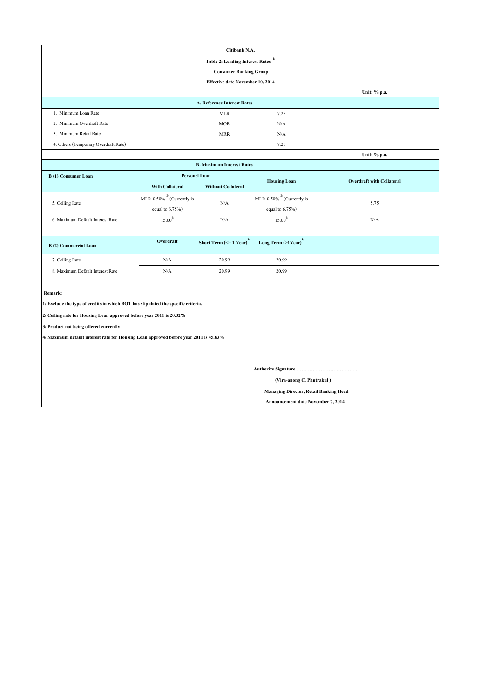|                                                                                       |                                 | Citibank N.A.                         |                                     |                                  |  |  |  |  |  |
|---------------------------------------------------------------------------------------|---------------------------------|---------------------------------------|-------------------------------------|----------------------------------|--|--|--|--|--|
| 1/<br><b>Table 2: Lending Interest Rates</b>                                          |                                 |                                       |                                     |                                  |  |  |  |  |  |
|                                                                                       |                                 | <b>Consumer Banking Group</b>         |                                     |                                  |  |  |  |  |  |
| <b>Effective date November 10, 2014</b>                                               |                                 |                                       |                                     |                                  |  |  |  |  |  |
|                                                                                       |                                 |                                       |                                     | Unit: % p.a.                     |  |  |  |  |  |
| A. Reference Interest Rates                                                           |                                 |                                       |                                     |                                  |  |  |  |  |  |
| 1. Minimum Loan Rate                                                                  |                                 | <b>MLR</b>                            | 7.25                                |                                  |  |  |  |  |  |
| 2. Minimum Overdraft Rate                                                             |                                 | <b>MOR</b>                            | N/A                                 |                                  |  |  |  |  |  |
| 3. Minimum Retail Rate                                                                |                                 | <b>MRR</b>                            | N/A                                 |                                  |  |  |  |  |  |
| 4. Others (Temporary Overdraft Rate)                                                  |                                 |                                       | 7.25                                |                                  |  |  |  |  |  |
|                                                                                       |                                 |                                       |                                     | Unit: % p.a.                     |  |  |  |  |  |
|                                                                                       |                                 | <b>B. Maximum Interest Rates</b>      |                                     |                                  |  |  |  |  |  |
| <b>B</b> (1) Consumer Loan                                                            | <b>Personel Loan</b>            |                                       |                                     | <b>Overdraft with Collateral</b> |  |  |  |  |  |
|                                                                                       | <b>With Collateral</b>          | <b>Without Collateral</b>             | <b>Housing Loan</b>                 |                                  |  |  |  |  |  |
|                                                                                       | MLR-0.50% $^{27}$ (Currently is |                                       | MLR-0.50% $^{27}$ (Currently is     |                                  |  |  |  |  |  |
| 5. Ceiling Rate                                                                       | equal to $6.75\%$ )             | N/A                                   | equal to $6.75\%$ )                 | 5.75                             |  |  |  |  |  |
| 6. Maximum Default Interest Rate                                                      | $15.00^{4/}$                    | N/A                                   | $15.00^{4/}$                        | N/A                              |  |  |  |  |  |
|                                                                                       |                                 |                                       |                                     |                                  |  |  |  |  |  |
| <b>B</b> (2) Commercial Loan                                                          | Overdraft                       | Short Term $(<=1$ Year) <sup>3/</sup> | Long Term $(>1$ Year) <sup>3/</sup> |                                  |  |  |  |  |  |
| 7. Ceiling Rate                                                                       | N/A                             | 20.99                                 | 20.99                               |                                  |  |  |  |  |  |
| 8. Maximum Default Interest Rate                                                      | N/A                             | 20.99                                 | 20.99                               |                                  |  |  |  |  |  |
|                                                                                       |                                 |                                       |                                     |                                  |  |  |  |  |  |
| Remark:                                                                               |                                 |                                       |                                     |                                  |  |  |  |  |  |
| 1/ Exclude the type of credits in which BOT has stipulated the specific criteria.     |                                 |                                       |                                     |                                  |  |  |  |  |  |
| 2/ Ceiling rate for Housing Loan approved before year 2011 is 20.32%                  |                                 |                                       |                                     |                                  |  |  |  |  |  |
| 3/ Product not being offered currently                                                |                                 |                                       |                                     |                                  |  |  |  |  |  |
| 4/ Maximum default interest rate for Housing Loan approved before year 2011 is 45.63% |                                 |                                       |                                     |                                  |  |  |  |  |  |
|                                                                                       |                                 |                                       |                                     |                                  |  |  |  |  |  |
|                                                                                       |                                 |                                       |                                     |                                  |  |  |  |  |  |
|                                                                                       |                                 |                                       |                                     |                                  |  |  |  |  |  |
|                                                                                       |                                 |                                       | (Vira-anong C. Phutrakul)           |                                  |  |  |  |  |  |
| <b>Managing Director, Retail Banking Head</b>                                         |                                 |                                       |                                     |                                  |  |  |  |  |  |

 **Announcement date November 7, 2014**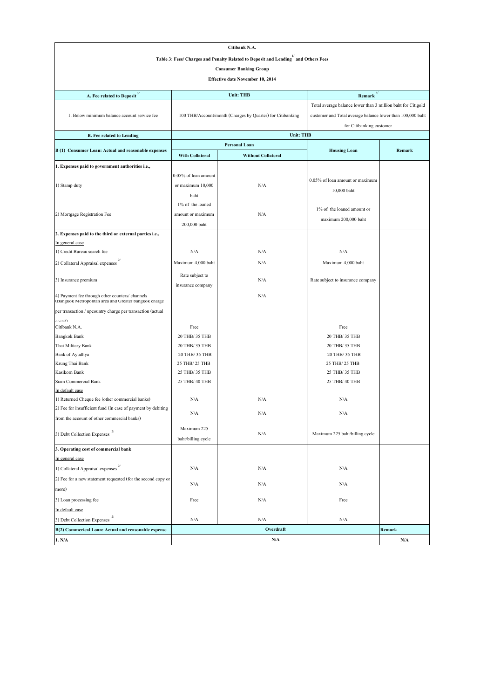| Citibank N.A.                                                                                            |                        |                                                              |                                                            |        |  |  |  |  |
|----------------------------------------------------------------------------------------------------------|------------------------|--------------------------------------------------------------|------------------------------------------------------------|--------|--|--|--|--|
| Table 3: Fees/ Charges and Penalty Related to Deposit and Lending <sup>1</sup> and Others Fees           |                        |                                                              |                                                            |        |  |  |  |  |
| <b>Consumer Banking Group</b>                                                                            |                        |                                                              |                                                            |        |  |  |  |  |
| <b>Effective date November 10, 2014</b>                                                                  |                        |                                                              |                                                            |        |  |  |  |  |
| 4/<br>A. Fee related to Deposit $3/$<br><b>Unit: THB</b><br>Remark                                       |                        |                                                              |                                                            |        |  |  |  |  |
|                                                                                                          |                        | Total average balance lower than 3 million baht for Citigold |                                                            |        |  |  |  |  |
| 1. Below minimum balance account service fee                                                             |                        | 100 THB/Account/month (Charges by Quarter) for Citibanking   | customer and Total average balance lower than 100,000 baht |        |  |  |  |  |
|                                                                                                          |                        | for Citibanking customer                                     |                                                            |        |  |  |  |  |
| <b>B.</b> Fee related to Lending                                                                         |                        | <b>Unit: THB</b>                                             |                                                            |        |  |  |  |  |
|                                                                                                          |                        | <b>Personal Loan</b>                                         |                                                            |        |  |  |  |  |
| B (1) Consumer Loan: Actual and reasonable expenses                                                      | <b>With Collateral</b> | <b>Without Collateral</b>                                    | <b>Housing Loan</b>                                        | Remark |  |  |  |  |
| 1. Expenses paid to government authorities i.e.,                                                         |                        |                                                              |                                                            |        |  |  |  |  |
|                                                                                                          | 0.05% of loan amount   |                                                              |                                                            |        |  |  |  |  |
| 1) Stamp duty                                                                                            | or maximum 10,000      | N/A                                                          | 0.05% of loan amount or maximum                            |        |  |  |  |  |
|                                                                                                          | baht                   |                                                              | 10,000 baht                                                |        |  |  |  |  |
|                                                                                                          | 1% of the loaned       |                                                              |                                                            |        |  |  |  |  |
| 2) Mortgage Registration Fee                                                                             | amount or maximum      | N/A                                                          | 1% of the loaned amount or                                 |        |  |  |  |  |
|                                                                                                          | 200,000 baht           |                                                              | maximum 200,000 baht                                       |        |  |  |  |  |
| 2. Expenses paid to the third or external parties i.e.,                                                  |                        |                                                              |                                                            |        |  |  |  |  |
| In general case                                                                                          |                        |                                                              |                                                            |        |  |  |  |  |
| 1) Credit Bureau search fee                                                                              | N/A                    | N/A                                                          | N/A                                                        |        |  |  |  |  |
| 2/<br>2) Collateral Appraisal expenses                                                                   | Maximum 4,000 baht     | N/A                                                          | Maximum 4,000 baht                                         |        |  |  |  |  |
|                                                                                                          | Rate subject to        |                                                              |                                                            |        |  |  |  |  |
| 3) Insurance premium                                                                                     | insurance company      | N/A                                                          | Rate subject to insurance company                          |        |  |  |  |  |
| 4) Payment fee through other counters/ channels<br>(Bangkok Metropolitan area and Greater bangkok charge |                        | N/A                                                          |                                                            |        |  |  |  |  |
| per transaction / upcountry charge per transaction (actual                                               |                        |                                                              |                                                            |        |  |  |  |  |
| (6n)                                                                                                     |                        |                                                              |                                                            |        |  |  |  |  |
| Citibank N.A.                                                                                            | Free                   |                                                              | Free                                                       |        |  |  |  |  |
| <b>Bangkok Bank</b>                                                                                      | 20 THB/ 35 THB         |                                                              | 20 THB/ 35 THB                                             |        |  |  |  |  |
| Thai Military Bank                                                                                       | 20 THB/ 35 THB         |                                                              | 20 THB/ 35 THB                                             |        |  |  |  |  |
| <b>Bank of Ayudhya</b>                                                                                   | 20 THB/ 35 THB         |                                                              | 20 THB/ 35 THB                                             |        |  |  |  |  |
| Krung Thai Bank                                                                                          | 25 THB/ 25 THB         |                                                              | 25 THB/ 25 THB                                             |        |  |  |  |  |
| Kasikorn Bank                                                                                            | 25 THB/ 35 THB         |                                                              | 25 THB/ 35 THB                                             |        |  |  |  |  |
| Siam Commercial Bank<br>In default case                                                                  | 25 THB/ 40 THB         |                                                              | 25 THB/ 40 THB                                             |        |  |  |  |  |
| 1) Returned Cheque fee (other commercial banks)                                                          | N/A                    | N/A                                                          | N/A                                                        |        |  |  |  |  |
| 2) Fee for insufficient fund (In case of payment by debiting                                             |                        |                                                              |                                                            |        |  |  |  |  |
| from the account of other commercial banks)                                                              | N/A                    | N/A                                                          | N/A                                                        |        |  |  |  |  |
|                                                                                                          | Maximum 225            |                                                              |                                                            |        |  |  |  |  |
| 3) Debt Collection Expenses                                                                              | baht/billing cycle     | N/A                                                          | Maximum 225 baht/billing cycle                             |        |  |  |  |  |
| 3. Operating cost of commercial bank                                                                     |                        |                                                              |                                                            |        |  |  |  |  |
| In general case                                                                                          |                        |                                                              |                                                            |        |  |  |  |  |
| 1) Collateral Appraisal expenses                                                                         | N/A                    | N/A                                                          | N/A                                                        |        |  |  |  |  |
| 2) Fee for a new statement requested (for the second copy or                                             | N/A                    | N/A                                                          | N/A                                                        |        |  |  |  |  |
| more)                                                                                                    |                        |                                                              |                                                            |        |  |  |  |  |
| 3) Loan processing fee                                                                                   | Free                   | N/A                                                          | Free                                                       |        |  |  |  |  |
| In default case                                                                                          |                        |                                                              |                                                            |        |  |  |  |  |
| 3) Debt Collection Expenses                                                                              | N/A                    | N/A                                                          | N/A                                                        |        |  |  |  |  |
| B(2) Commerical Loan: Actual and reasonable expense                                                      |                        | Overdraft                                                    |                                                            | Remark |  |  |  |  |
| 1. N/A                                                                                                   |                        | N/A                                                          |                                                            | N/A    |  |  |  |  |